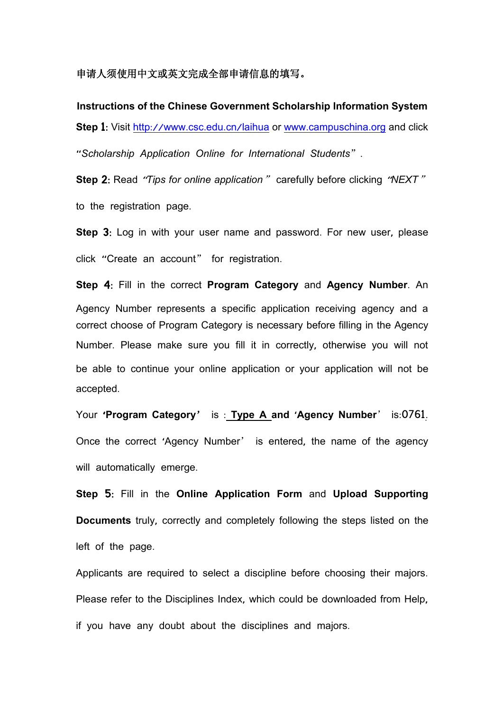## 申请人须使用中文或英文完成全部申请信息的填写。

**Instructions of the Chinese Government Scholarship Information System Step 1:** Visit http://www.csc.edu.cn/[laihua](http://www.csc.edu.cn/laihua) or www.[campuschina](http://www.campuschina.org).org and click "*Scholarship Application Online for International Students*".

**Step** 2: Read "*Tips foronline application*" carefully before clicking "*NEXT*" to the registration page.

**Step** 3: Log in with your user name and password. For new user, please click "Create an account" for registration.

**Step** 4: Fill in the correct **Program Category** and **Agency Number**. An Agency Number represents a specific application receiving agency and a correct choose of Program Category is necessary before filling in the Agency Number. Please make sure you fill it in correctly, otherwise you will not be able to continue your online application or your application will not be accepted.

Your '**Program Category**' is : **Type A and** '**Agency Number**' is:0761. Once the correct 'Agency Number' is entered, the name of the agency will automatically emerge.

**Step** 5: Fill in the **Online Application Form** and **Upload Supporting Documents** truly, correctly and completely following the steps listed on the left of the page.

Applicants are required to select a discipline before choosing their majors. Please refer to the Disciplines Index, which could be downloaded from Help, if you have any doubt about the disciplines and majors.